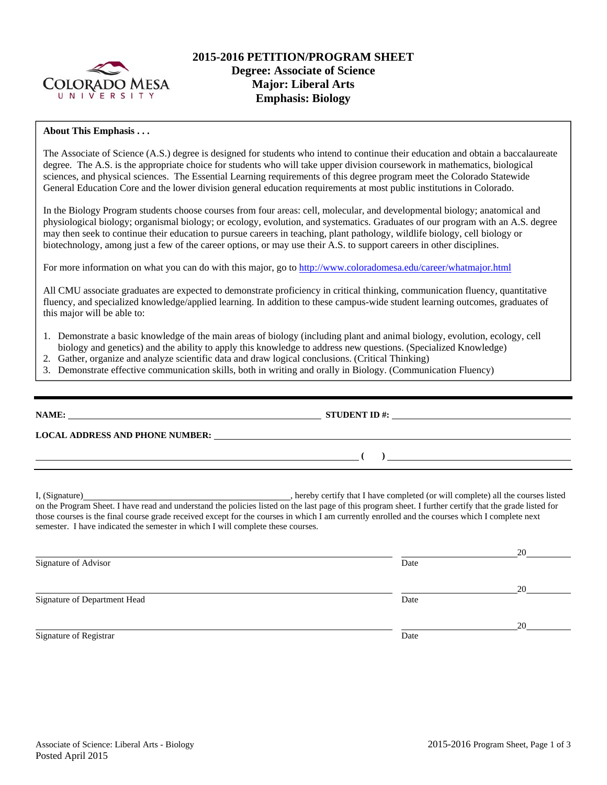

# **2015-2016 PETITION/PROGRAM SHEET Degree: Associate of Science Major: Liberal Arts Emphasis: Biology**

### **About This Emphasis . . .**

The Associate of Science (A.S.) degree is designed for students who intend to continue their education and obtain a baccalaureate degree. The A.S. is the appropriate choice for students who will take upper division coursework in mathematics, biological sciences, and physical sciences. The Essential Learning requirements of this degree program meet the Colorado Statewide General Education Core and the lower division general education requirements at most public institutions in Colorado.

In the Biology Program students choose courses from four areas: cell, molecular, and developmental biology; anatomical and physiological biology; organismal biology; or ecology, evolution, and systematics. Graduates of our program with an A.S. degree may then seek to continue their education to pursue careers in teaching, plant pathology, wildlife biology, cell biology or biotechnology, among just a few of the career options, or may use their A.S. to support careers in other disciplines.

For more information on what you can do with this major, go to http://www.coloradomesa.edu/career/whatmajor.html

All CMU associate graduates are expected to demonstrate proficiency in critical thinking, communication fluency, quantitative fluency, and specialized knowledge/applied learning. In addition to these campus-wide student learning outcomes, graduates of this major will be able to:

- 1. Demonstrate a basic knowledge of the main areas of biology (including plant and animal biology, evolution, ecology, cell biology and genetics) and the ability to apply this knowledge to address new questions. (Specialized Knowledge)
- 2. Gather, organize and analyze scientific data and draw logical conclusions. (Critical Thinking)
- 3. Demonstrate effective communication skills, both in writing and orally in Biology. (Communication Fluency)

| STUDENT ID #: $\frac{1}{2}$ = $\frac{1}{2}$ = $\frac{1}{2}$ = $\frac{1}{2}$ = $\frac{1}{2}$ = $\frac{1}{2}$ = $\frac{1}{2}$ = $\frac{1}{2}$ = $\frac{1}{2}$ = $\frac{1}{2}$ = $\frac{1}{2}$ = $\frac{1}{2}$ = $\frac{1}{2}$ = $\frac{1}{2}$ = $\frac{1}{2}$ = $\frac{1}{2}$ = $\frac{1}{2}$ = $\frac$ |
|-------------------------------------------------------------------------------------------------------------------------------------------------------------------------------------------------------------------------------------------------------------------------------------------------------|
|                                                                                                                                                                                                                                                                                                       |
| $\overline{a}$ (b) and the contract of $\overline{a}$ (c) and the contract of $\overline{a}$ (c) and the contract of $\overline{a}$                                                                                                                                                                   |
|                                                                                                                                                                                                                                                                                                       |

on the Program Sheet. I have read and understand the policies listed on the last page of this program sheet. I further certify that the grade listed for those courses is the final course grade received except for the courses in which I am currently enrolled and the courses which I complete next semester. I have indicated the semester in which I will complete these courses.

|                              |      | 20 |
|------------------------------|------|----|
| Signature of Advisor         | Date |    |
|                              |      | 20 |
| Signature of Department Head | Date |    |
|                              |      | 20 |
| Signature of Registrar       | Date |    |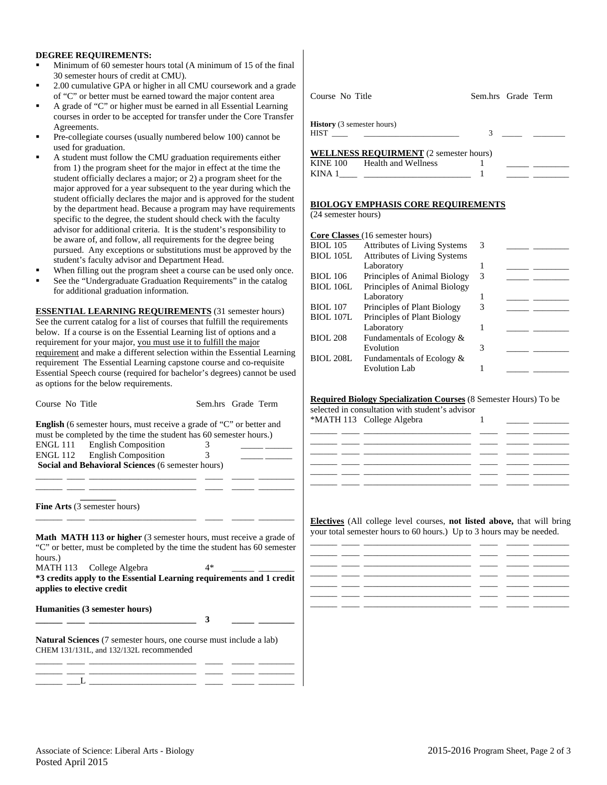#### **DEGREE REQUIREMENTS:**

- Minimum of 60 semester hours total (A minimum of 15 of the final 30 semester hours of credit at CMU).
- 2.00 cumulative GPA or higher in all CMU coursework and a grade of "C" or better must be earned toward the major content area
- A grade of "C" or higher must be earned in all Essential Learning courses in order to be accepted for transfer under the Core Transfer Agreements.
- Pre-collegiate courses (usually numbered below 100) cannot be used for graduation.
- A student must follow the CMU graduation requirements either from 1) the program sheet for the major in effect at the time the student officially declares a major; or 2) a program sheet for the major approved for a year subsequent to the year during which the student officially declares the major and is approved for the student by the department head. Because a program may have requirements specific to the degree, the student should check with the faculty advisor for additional criteria. It is the student's responsibility to be aware of, and follow, all requirements for the degree being pursued. Any exceptions or substitutions must be approved by the student's faculty advisor and Department Head.
- When filling out the program sheet a course can be used only once.
- See the "Undergraduate Graduation Requirements" in the catalog for additional graduation information.

**ESSENTIAL LEARNING REQUIREMENTS** (31 semester hours) See the current catalog for a list of courses that fulfill the requirements below. If a course is on the Essential Learning list of options and a requirement for your major, you must use it to fulfill the major requirement and make a different selection within the Essential Learning requirement The Essential Learning capstone course and co-requisite Essential Speech course (required for bachelor's degrees) cannot be used as options for the below requirements.

| Course No Title |  |
|-----------------|--|
|                 |  |

Sem.hrs Grade Term

**English** (6 semester hours, must receive a grade of "C" or better and must be completed by the time the student has 60 semester hours.) ENGL 111 English Composition 3 \_\_\_\_\_ \_\_\_\_ ENGL 112 English Composition 3 \_\_\_\_\_ \_\_\_\_ **Social and Behavioral Sciences** (6 semester hours)

\_\_\_\_\_\_ \_\_\_\_ \_\_\_\_\_\_\_\_\_\_\_\_\_\_\_\_\_\_\_\_\_\_\_\_ \_\_\_\_ \_\_\_\_\_ \_\_\_\_\_\_\_\_ \_\_\_\_\_\_ \_\_\_\_ \_\_\_\_\_\_\_\_\_\_\_\_\_\_\_\_\_\_\_\_\_\_\_\_ \_\_\_\_ \_\_\_\_\_ \_\_\_\_\_\_\_\_

 **\_\_\_\_\_\_\_\_ Fine Arts** (3 semester hours)

**Math MATH 113 or higher** (3 semester hours, must receive a grade of "C" or better, must be completed by the time the student has 60 semester hours.)

\_\_\_\_\_\_ \_\_\_\_ \_\_\_\_\_\_\_\_\_\_\_\_\_\_\_\_\_\_\_\_\_\_\_\_ \_\_\_\_ \_\_\_\_\_ \_\_\_\_\_\_\_\_

MATH 113 College Algebra 4\* **\*3 credits apply to the Essential Learning requirements and 1 credit applies to elective credit** 

 $\frac{1}{\sqrt{3}}$ 

**Humanities (3 semester hours)** 

**Natural Sciences** (7 semester hours, one course must include a lab) CHEM 131/131L, and 132/132L recommended

| Course No Title                                                                                                                                                                                                                | Sem.hrs Grade Term |  |
|--------------------------------------------------------------------------------------------------------------------------------------------------------------------------------------------------------------------------------|--------------------|--|
| <b>History</b> (3 semester hours)                                                                                                                                                                                              |                    |  |
| HIST THE STATE OF THE STATE OF THE STATE OF THE STATE OF THE STATE OF THE STATE OF THE STATE OF THE STATE OF THE STATE OF THE STATE OF THE STATE OF THE STATE OF THE STATE OF THE STATE OF THE STATE OF THE STATE OF THE STATE | 3                  |  |
| --------------------                                                                                                                                                                                                           |                    |  |

| <b>WELLNESS REQUIRMENT</b> (2 semester hours) |                     |  |  |  |
|-----------------------------------------------|---------------------|--|--|--|
| KINE 100                                      | Health and Wellness |  |  |  |
| KINA 1                                        |                     |  |  |  |
|                                               |                     |  |  |  |

#### **BIOLOGY EMPHASIS CORE REQUIREMENTS**

(24 semester hours)

|                  | Core Classes (16 semester hours)    |   |  |
|------------------|-------------------------------------|---|--|
| <b>BIOL</b> 105  | <b>Attributes of Living Systems</b> | 3 |  |
| <b>BIOL 105L</b> | <b>Attributes of Living Systems</b> |   |  |
|                  | Laboratory                          |   |  |
| <b>BIOL 106</b>  | Principles of Animal Biology        | 3 |  |
| <b>BIOL 106L</b> | Principles of Animal Biology        |   |  |
|                  | Laboratory                          |   |  |
| <b>BIOL 107</b>  | Principles of Plant Biology         | 3 |  |
| <b>BIOL 107L</b> | Principles of Plant Biology         |   |  |
|                  | Laboratory                          |   |  |
| <b>BIOL 208</b>  | Fundamentals of Ecology &           |   |  |
|                  | Evolution                           |   |  |
| <b>BIOL 208L</b> | Fundamentals of Ecology &           |   |  |
|                  | <b>Evolution Lab</b>                |   |  |

#### **Required Biology Specialization Courses** (8 Semester Hours) To be

selected in consultation with student's advisor



**Electives** (All college level courses, **not listed above,** that will bring your total semester hours to 60 hours.) Up to 3 hours may be needed.